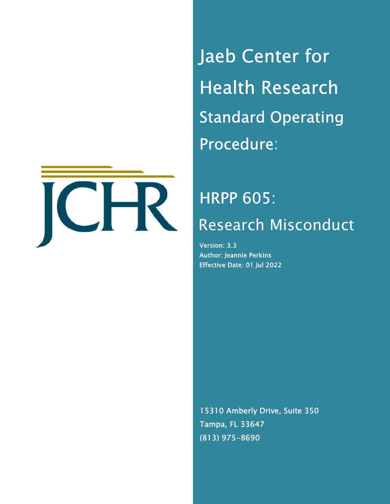

Jaeb Center for Health Research Standard Operating Procedure:

# HRPP 605: Research Misconduct

Version: 3.3 Author: Jeannie Perkins Effective Date: 01 Jul 2022

15310 Amberly Drive, Suite 350 Tampa, FL 33647 (813) 975-8690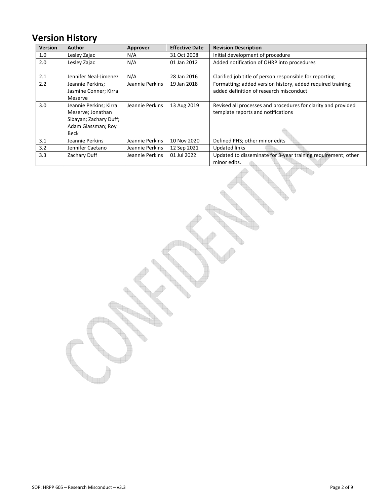# **Version History**

| <b>Version</b> | <b>Author</b>                                                                                       | Approver        | <b>Effective Date</b> | <b>Revision Description</b>                                                                            |
|----------------|-----------------------------------------------------------------------------------------------------|-----------------|-----------------------|--------------------------------------------------------------------------------------------------------|
| 1.0            | Lesley Zajac                                                                                        | N/A             | 31 Oct 2008           | Initial development of procedure                                                                       |
| 2.0            | Lesley Zajac                                                                                        | N/A             | 01 Jan 2012           | Added notification of OHRP into procedures                                                             |
| 2.1            | Jennifer Neal-Jimenez                                                                               | N/A             | 28 Jan 2016           | Clarified job title of person responsible for reporting                                                |
| 2.2            | Jeannie Perkins;<br>Jasmine Conner; Kirra<br>Meserve                                                | Jeannie Perkins | 19 Jan 2018           | Formatting; added version history, added required training;<br>added definition of research misconduct |
| 3.0            | Jeannie Perkins; Kirra<br>Meserve; Jonathan<br>Sibayan; Zachary Duff;<br>Adam Glassman; Roy<br>Beck | Jeannie Perkins | 13 Aug 2019           | Revised all processes and procedures for clarity and provided<br>template reports and notifications    |
| 3.1            | Jeannie Perkins                                                                                     | Jeannie Perkins | 10 Nov 2020           | Defined PHS; other minor edits                                                                         |
| 3.2            | Jennifer Caetano                                                                                    | Jeannie Perkins | 12 Sep 2021           | <b>Updated links</b>                                                                                   |
| 3.3            | Zachary Duff                                                                                        | Jeannie Perkins | 01 Jul 2022           | Updated to disseminate for 3-year training requirement; other<br>minor edits.                          |

<u>ish</u>

**Report**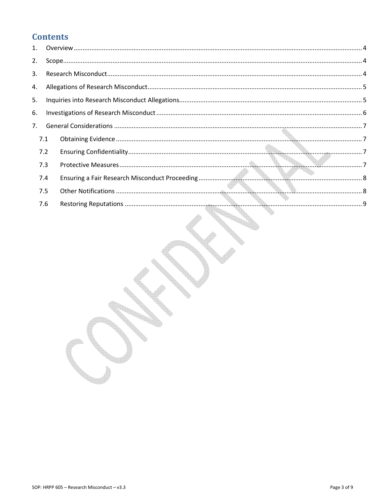# **Contents**

| 2. |     |  |  |
|----|-----|--|--|
| 3. |     |  |  |
| 4. |     |  |  |
| 5. |     |  |  |
| 6. |     |  |  |
| 7. |     |  |  |
|    | 7.1 |  |  |
|    | 7.2 |  |  |
|    | 7.3 |  |  |
|    | 7.4 |  |  |
|    | 7.5 |  |  |
|    | 7.6 |  |  |
|    |     |  |  |

<u>isk</u>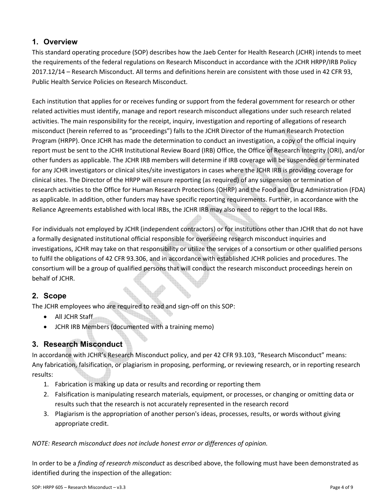## **1. Overview**

This standard operating procedure (SOP) describes how the Jaeb Center for Health Research (JCHR) intends to meet the requirements of the federal regulations on Research Misconduct in accordance with the JCHR HRPP/IRB Policy 2017.12/14 – Research Misconduct. All terms and definitions herein are consistent with those used in 42 CFR 93, Public Health Service Policies on Research Misconduct.

Each institution that applies for or receives funding or support from the federal government for research or other related activities must identify, manage and report research misconduct allegations under such research related activities. The main responsibility for the receipt, inquiry, investigation and reporting of allegations of research misconduct (herein referred to as "proceedings") falls to the JCHR Director of the Human Research Protection Program (HRPP). Once JCHR has made the determination to conduct an investigation, a copy of the official inquiry report must be sent to the JCHR Institutional Review Board (IRB) Office, the Office of Research Integrity (ORI), and/or other funders as applicable. The JCHR IRB members will determine if IRB coverage will be suspended or terminated for any JCHR investigators or clinical sites/site investigators in cases where the JCHR IRB is providing coverage for clinical sites. The Director of the HRPP will ensure reporting (as required) of any suspension or termination of research activities to the Office for Human Research Protections (OHRP) and the Food and Drug Administration (FDA) as applicable. In addition, other funders may have specific reporting requirements. Further, in accordance with the Reliance Agreements established with local IRBs, the JCHR IRB may also need to report to the local IRBs.

For individuals not employed by JCHR (independent contractors) or for institutions other than JCHR that do not have a formally designated institutional official responsible for overseeing research misconduct inquiries and investigations, JCHR may take on that responsibility or utilize the services of a consortium or other qualified persons to fulfil the obligations of 42 CFR 93.306, and in accordance with established JCHR policies and procedures. The consortium will be a group of qualified persons that will conduct the research misconduct proceedings herein on behalf of JCHR.

#### **2. Scope**

The JCHR employees who are required to read and sign-off on this SOP:

- All JCHR Staff
- JCHR IRB Members (documented with a training memo)

## **3. Research Misconduct**

In accordance with JCHR's Research Misconduct policy, and per 42 CFR 93.103, "Research Misconduct" means: Any fabrication, falsification, or plagiarism in proposing, performing, or reviewing research, or in reporting research results:

- 1. Fabrication is making up data or results and recording or reporting them
- 2. Falsification is manipulating research materials, equipment, or processes, or changing or omitting data or results such that the research is not accurately represented in the research record
- 3. Plagiarism is the appropriation of another person's ideas, processes, results, or words without giving appropriate credit.

*NOTE: Research misconduct does not include honest error or differences of opinion.* 

In order to be a *finding of research misconduct* as described above, the following must have been demonstrated as identified during the inspection of the allegation: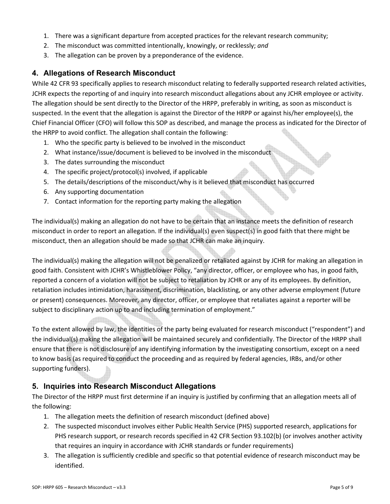- 1. There was a significant departure from accepted practices for the relevant research community;
- 2. The misconduct was committed intentionally, knowingly, or recklessly; *and*
- 3. The allegation can be proven by a preponderance of the evidence.

#### **4. Allegations of Research Misconduct**

While 42 CFR 93 specifically applies to research misconduct relating to federally supported research related activities, JCHR expects the reporting of and inquiry into research misconduct allegations about any JCHR employee or activity. The allegation should be sent directly to the Director of the HRPP, preferably in writing, as soon as misconduct is suspected. In the event that the allegation is against the Director of the HRPP or against his/her employee(s), the Chief Financial Officer (CFO) will follow this SOP as described, and manage the process as indicated for the Director of the HRPP to avoid conflict. The allegation shall contain the following:

- 1. Who the specific party is believed to be involved in the misconduct
- 2. What instance/issue/document is believed to be involved in the misconduct
- 3. The dates surrounding the misconduct
- 4. The specific project/protocol(s) involved, if applicable
- 5. The details/descriptions of the misconduct/why is it believed that misconduct has occurred
- 6. Any supporting documentation
- 7. Contact information for the reporting party making the allegation

The individual(s) making an allegation do not have to be certain that an instance meets the definition of research misconduct in order to report an allegation. If the individual(s) even suspect(s) in good faith that there might be misconduct, then an allegation should be made so that JCHR can make an inquiry.

The individual(s) making the allegation will not be penalized or retaliated against by JCHR for making an allegation in good faith. Consistent with JCHR's Whistleblower Policy, "any director, officer, or employee who has, in good faith, reported a concern of a violation will not be subject to retaliation by JCHR or any of its employees. By definition, retaliation includes intimidation, harassment, discrimination, blacklisting, or any other adverse employment (future or present) consequences. Moreover, any director, officer, or employee that retaliates against a reporter will be subject to disciplinary action up to and including termination of employment."

To the extent allowed by law, the identities of the party being evaluated for research misconduct ("respondent") and the individual(s) making the allegation will be maintained securely and confidentially. The Director of the HRPP shall ensure that there is not disclosure of any identifying information by the investigating consortium, except on a need to know basis (as required to conduct the proceeding and as required by federal agencies, IRBs, and/or other supporting funders).

#### **5. Inquiries into Research Misconduct Allegations**

The Director of the HRPP must first determine if an inquiry is justified by confirming that an allegation meets all of the following:

- 1. The allegation meets the definition of research misconduct (defined above)
- 2. The suspected misconduct involves either Public Health Service (PHS) supported research, applications for PHS research support, or research records specified in 42 CFR Section 93.102(b) (or involves another activity that requires an inquiry in accordance with JCHR standards or funder requirements)
- 3. The allegation is sufficiently credible and specific so that potential evidence of research misconduct may be identified.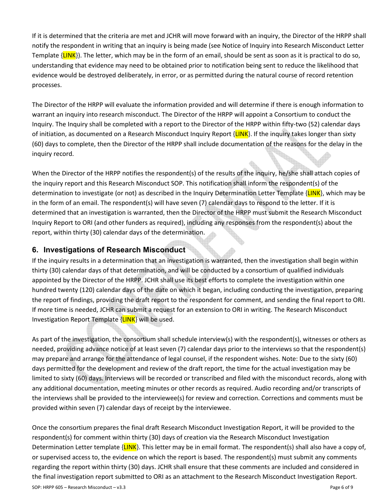If it is determined that the criteria are met and JCHR will move forward with an inquiry, the Director of the HRPP shall notify the respondent in writing that an inquiry is being made (see Notice of Inquiry into Research Misconduct Letter Template  $\{LINK\}$ . The letter, which may be in the form of an email, should be sent as soon as it is practical to do so, understanding that evidence may need to be obtained prior to notification being sent to reduce the likelihood that evidence would be destroyed deliberately, in error, or as permitted during the natural course of record retention processes.

The Director of the HRPP will evaluate the information provided and will determine if there is enough information to warrant an inquiry into research misconduct. The Director of the HRPP will appoint a Consortium to conduct the Inquiry. The Inquiry shall be completed with a report to the Director of the HRPP within fifty-two (52) calendar days of initiation, as documented on a Research Misconduct Inquiry Report  $\{LINK\}$ . If the inquiry takes longer than sixty (60) days to complete, then the Director of the HRPP shall include documentation of the reasons for the delay in the inquiry record.

When the Director of the HRPP notifies the respondent(s) of the results of the inquiry, he/she shall attach copies of the inquiry report and this Research Misconduct SOP. This notification shall inform the respondent(s) of the determination to investigate (or not) as described in the Inquiry Determination Letter Template {LINK}, which may be in the form of an email. The respondent(s) will have seven (7) calendar days to respond to the letter. If it is determined that an investigation is warranted, then the Director of the HRPP must submit the Research Misconduct Inquiry Report to ORI (and other funders as required), including any responses from the respondent(s) about the report, within thirty (30) calendar days of the determination.

#### **6. Investigations of Research Misconduct**

If the inquiry results in a determination that an investigation is warranted, then the investigation shall begin within thirty (30) calendar days of that determination, and will be conducted by a consortium of qualified individuals appointed by the Director of the HRPP. JCHR shall use its best efforts to complete the investigation within one hundred twenty (120) calendar days of the date on which it began, including conducting the investigation, preparing the report of findings, providing the draft report to the respondent for comment, and sending the final report to ORI. If more time is needed, JCHR can submit a request for an extension to ORI in writing. The Research Misconduct Investigation Report Template {LINK} will be used.

As part of the investigation, the consortium shall schedule interview(s) with the respondent(s), witnesses or others as needed, providing advance notice of at least seven (7) calendar days prior to the interviews so that the respondent(s) may prepare and arrange for the attendance of legal counsel, if the respondent wishes. Note: Due to the sixty (60) days permitted for the development and review of the draft report, the time for the actual investigation may be limited to sixty (60) days. Interviews will be recorded or transcribed and filed with the misconduct records, along with any additional documentation, meeting minutes or other records as required. Audio recording and/or transcripts of the interviews shall be provided to the interviewee(s) for review and correction. Corrections and comments must be provided within seven (7) calendar days of receipt by the interviewee.

SOP: HRPP 605 – Research Misconduct – v3.3 Page 6 of 9 Once the consortium prepares the final draft Research Misconduct Investigation Report, it will be provided to the respondent(s) for comment within thirty (30) days of creation via the Research Misconduct Investigation Determination Letter template {LINK}. This letter may be in email format. The respondent(s) shall also have a copy of, or supervised access to, the evidence on which the report is based. The respondent(s) must submit any comments regarding the report within thirty (30) days. JCHR shall ensure that these comments are included and considered in the final investigation report submitted to ORI as an attachment to the Research Misconduct Investigation Report.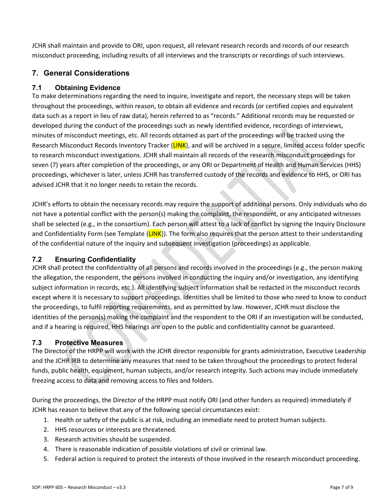JCHR shall maintain and provide to ORI, upon request, all relevant research records and records of our research misconduct proceeding, including results of all interviews and the transcripts or recordings of such interviews.

# **7. General Considerations**

#### **7.1 Obtaining Evidence**

To make determinations regarding the need to inquire, investigate and report, the necessary steps will be taken throughout the proceedings, within reason, to obtain all evidence and records (or certified copies and equivalent data such as a report in lieu of raw data), herein referred to as "records." Additional records may be requested or developed during the conduct of the proceedings such as newly identified evidence, recordings of interviews, minutes of misconduct meetings, etc. All records obtained as part of the proceedings will be tracked using the Research Misconduct Records Inventory Tracker  ${LINK}$ , and will be archived in a secure, limited access folder specific to research misconduct investigations. JCHR shall maintain all records of the research misconduct proceedings for seven (7) years after completion of the proceedings, or any ORI or Department of Health and Human Services (HHS) proceedings, whichever is later, unless JCHR has transferred custody of the records and evidence to HHS, or ORI has advised JCHR that it no longer needs to retain the records.

JCHR's efforts to obtain the necessary records may require the support of additional persons. Only individuals who do not have a potential conflict with the person(s) making the complaint, the respondent, or any anticipated witnesses shall be selected (e.g., in the consortium). Each person will attest to a lack of conflict by signing the Inquiry Disclosure and Confidentiality Form (see Template  ${LINK}$ ). The form also requires that the person attest to their understanding of the confidential nature of the inquiry and subsequent investigation (proceedings) as applicable.

#### **7.2 Ensuring Confidentiality**

JCHR shall protect the confidentiality of all persons and records involved in the proceedings (e.g., the person making the allegation, the respondent, the persons involved in conducting the inquiry and/or investigation, any identifying subject information in records, etc.). All identifying subject information shall be redacted in the misconduct records except where it is necessary to support proceedings. Identities shall be limited to those who need to know to conduct the proceedings, to fulfil reporting requirements, and as permitted by law. However, JCHR must disclose the identities of the person(s) making the complaint and the respondent to the ORI if an investigation will be conducted, and if a hearing is required, HHS hearings are open to the public and confidentiality cannot be guaranteed.

#### **7.3 Protective Measures**

The Director of the HRPP will work with the JCHR director responsible for grants administration, Executive Leadership and the JCHR IRB to determine any measures that need to be taken throughout the proceedings to protect federal funds, public health, equipment, human subjects, and/or research integrity. Such actions may include immediately freezing access to data and removing access to files and folders.

During the proceedings, the Director of the HRPP must notify ORI (and other funders as required) immediately if JCHR has reason to believe that any of the following special circumstances exist:

- 1. Health or safety of the public is at risk, including an immediate need to protect human subjects.
- 2. HHS resources or interests are threatened.
- 3. Research activities should be suspended.
- 4. There is reasonable indication of possible violations of civil or criminal law.
- 5. Federal action is required to protect the interests of those involved in the research misconduct proceeding.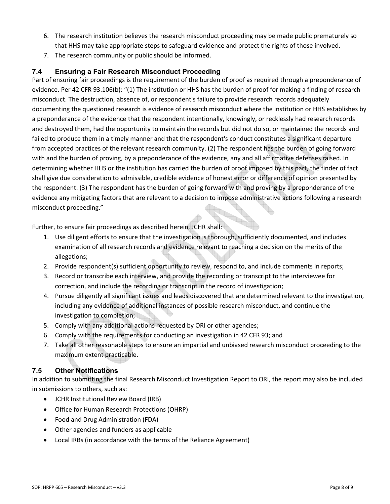- 6. The research institution believes the research misconduct proceeding may be made public prematurely so that HHS may take appropriate steps to safeguard evidence and protect the rights of those involved.
- 7. The research community or public should be informed.

#### **7.4 Ensuring a Fair Research Misconduct Proceeding**

Part of ensuring fair proceedings is the requirement of the burden of proof as required through a preponderance of evidence. Per 42 CFR 93.106(b): "(1) The institution or HHS has the burden of proof for making a finding of research misconduct. The destruction, absence of, or respondent's failure to provide research records adequately documenting the questioned research is evidence of research misconduct where the institution or HHS establishes by a preponderance of the evidence that the respondent intentionally, knowingly, or recklessly had research records and destroyed them, had the opportunity to maintain the records but did not do so, or maintained the records and failed to produce them in a timely manner and that the respondent's conduct constitutes a significant departure from accepted practices of the relevant research community. (2) The respondent has the burden of going forward with and the burden of proving, by a preponderance of the evidence, any and all affirmative defenses raised. In determining whether HHS or the institution has carried the burden of proof imposed by this part, the finder of fact shall give due consideration to admissible, credible evidence of honest error or difference of opinion presented by the respondent. (3) The respondent has the burden of going forward with and proving by a preponderance of the evidence any mitigating factors that are relevant to a decision to impose administrative actions following a research misconduct proceeding."

Further, to ensure fair proceedings as described herein, JCHR shall:

- 1. Use diligent efforts to ensure that the investigation is thorough, sufficiently documented, and includes examination of all research records and evidence relevant to reaching a decision on the merits of the allegations;
- 2. Provide respondent(s) sufficient opportunity to review, respond to, and include comments in reports;
- 3. Record or transcribe each interview, and provide the recording or transcript to the interviewee for correction, and include the recording or transcript in the record of investigation;
- 4. Pursue diligently all significant issues and leads discovered that are determined relevant to the investigation, including any evidence of additional instances of possible research misconduct, and continue the investigation to completion;
- 5. Comply with any additional actions requested by ORI or other agencies;
- 6. Comply with the requirements for conducting an investigation in 42 CFR 93; and
- 7. Take all other reasonable steps to ensure an impartial and unbiased research misconduct proceeding to the maximum extent practicable.

#### **7.5 Other Notifications**

In addition to submitting the final Research Misconduct Investigation Report to ORI, the report may also be included in submissions to others, such as:

- JCHR Institutional Review Board (IRB)
- Office for Human Research Protections (OHRP)
- Food and Drug Administration (FDA)
- Other agencies and funders as applicable
- Local IRBs (in accordance with the terms of the Reliance Agreement)